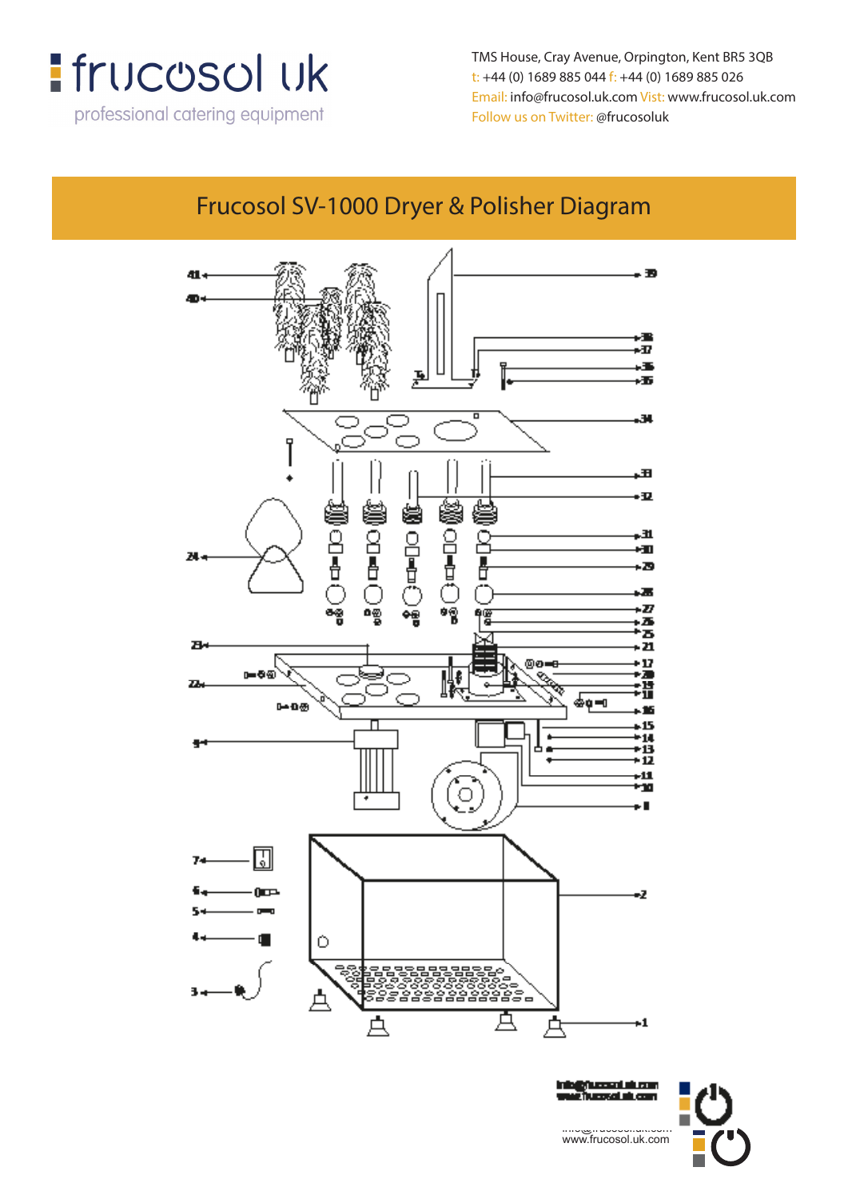

TMS House, Cray Avenue, Orpington, Kent BR5 3QB t: +44 (0) 1689 885 044 f: +44 (0) 1689 885 026 Email: info@frucosol.uk.com Vist: www.frucosol.uk.com Follow us on Twitter: @frucosoluk

## Frucosol SV-1000 Dryer & Polisher Diagram



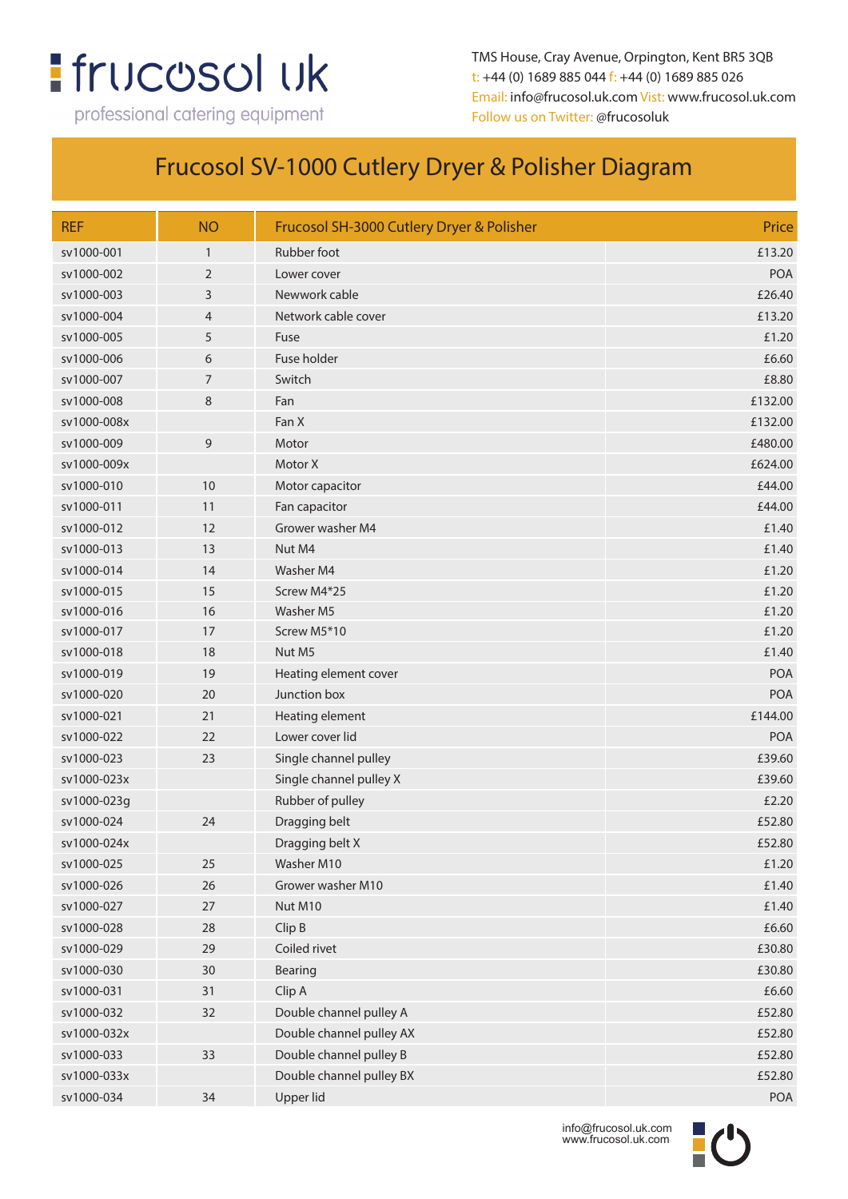## **:** frucosol uk

professional catering equipment

TMS House, Cray Avenue, Orpington, Kent BR5 3QB t: +44 (0) 1689 885 044 f: +44 (0) 1689 885 026 Email: info@frucosol.uk.com Vist: www.frucosol.uk.com Follow us on Twitter: @frucosoluk

## Frucosol SV-1000 Cutlery Dryer & Polisher Diagram

| <b>REF</b>  | <b>NO</b>      | Frucosol SH-3000 Cutlery Dryer & Polisher | Price      |
|-------------|----------------|-------------------------------------------|------------|
| sv1000-001  | $\mathbf{1}$   | Rubber foot                               | £13.20     |
| sv1000-002  | 2              | Lower cover                               | <b>POA</b> |
| sv1000-003  | 3              | Newwork cable                             | £26.40     |
| sv1000-004  | 4              | Network cable cover                       | £13.20     |
| sv1000-005  | 5              | Fuse                                      | £1.20      |
| sv1000-006  | 6              | Fuse holder                               | £6.60      |
| sv1000-007  | $\overline{7}$ | Switch                                    | £8.80      |
| sv1000-008  | 8              | Fan                                       | £132.00    |
| sv1000-008x |                | Fan X                                     | £132.00    |
| sv1000-009  | $\overline{9}$ | Motor                                     | £480.00    |
| sv1000-009x |                | Motor X                                   | £624.00    |
| sv1000-010  | 10             | Motor capacitor                           | £44.00     |
| sv1000-011  | 11             | Fan capacitor                             | £44.00     |
| sv1000-012  | 12             | Grower washer M4                          | £1.40      |
| sv1000-013  | 13             | Nut M4                                    | £1.40      |
| sv1000-014  | 14             | Washer M4                                 | £1.20      |
| sv1000-015  | 15             | Screw M4*25                               | £1.20      |
| sv1000-016  | 16             | Washer M5                                 | £1.20      |
| sv1000-017  | 17             | Screw M5*10                               | £1.20      |
| sv1000-018  | 18             | Nut M5                                    | £1.40      |
| sv1000-019  | 19             | Heating element cover                     | POA        |
| sv1000-020  | 20             | Junction box                              | <b>POA</b> |
| sv1000-021  | 21             | Heating element                           | £144.00    |
| sv1000-022  | 22             | Lower cover lid                           | POA        |
| sv1000-023  | 23             | Single channel pulley                     | £39.60     |
| sv1000-023x |                | Single channel pulley X                   | £39.60     |
| sv1000-023g |                | Rubber of pulley                          | £2.20      |
| sv1000-024  | 24             | Dragging belt                             | £52.80     |
| sv1000-024x |                | Dragging belt X                           | £52.80     |
| sv1000-025  | 25             | Washer M10                                | £1.20      |
| sv1000-026  | 26             | Grower washer M10                         | £1.40      |
| sv1000-027  | 27             | Nut M10                                   | £1.40      |
| sv1000-028  | 28             | Clip B                                    | £6.60      |
| sv1000-029  | 29             | Coiled rivet                              | £30.80     |
| sv1000-030  | 30             | Bearing                                   | £30.80     |
| sv1000-031  | 31             | Clip A                                    | £6.60      |
| sv1000-032  | 32             | Double channel pulley A                   | £52.80     |
| sv1000-032x |                | Double channel pulley AX                  | £52.80     |
| sv1000-033  | 33             | Double channel pulley B                   | £52.80     |
| sv1000-033x |                | Double channel pulley BX                  | £52.80     |
| sv1000-034  | 34             | Upper lid                                 | POA        |